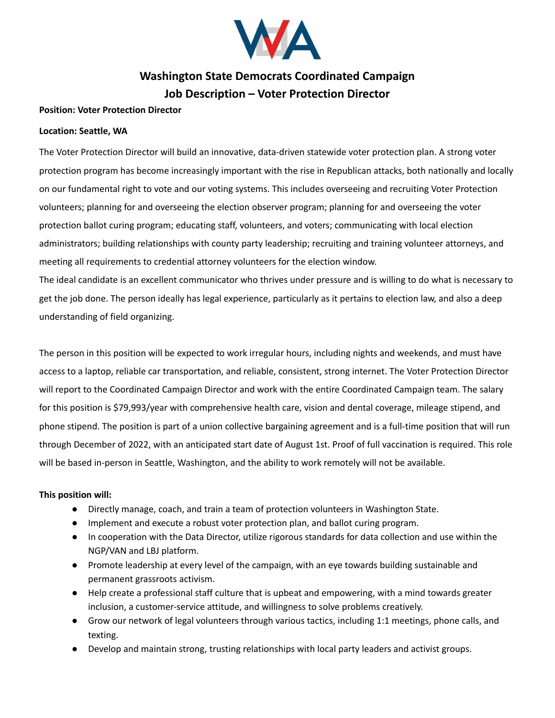

# **Washington State Democrats Coordinated Campaign Job Description – Voter Protection Director**

### **Position: Voter Protection Director**

#### **Location: Seattle, WA**

The Voter Protection Director will build an innovative, data-driven statewide voter protection plan. A strong voter protection program has become increasingly important with the rise in Republican attacks, both nationally and locally on our fundamental right to vote and our voting systems. This includes overseeing and recruiting Voter Protection volunteers; planning for and overseeing the election observer program; planning for and overseeing the voter protection ballot curing program; educating staff, volunteers, and voters; communicating with local election administrators; building relationships with county party leadership; recruiting and training volunteer attorneys, and meeting all requirements to credential attorney volunteers for the election window.

The ideal candidate is an excellent communicator who thrives under pressure and is willing to do what is necessary to get the job done. The person ideally has legal experience, particularly as it pertains to election law, and also a deep understanding of field organizing.

The person in this position will be expected to work irregular hours, including nights and weekends, and must have access to a laptop, reliable car transportation, and reliable, consistent, strong internet. The Voter Protection Director will report to the Coordinated Campaign Director and work with the entire Coordinated Campaign team. The salary for this position is \$79,993/year with comprehensive health care, vision and dental coverage, mileage stipend, and phone stipend. The position is part of a union collective bargaining agreement and is a full-time position that will run through December of 2022, with an anticipated start date of August 1st. Proof of full vaccination is required. This role will be based in-person in Seattle, Washington, and the ability to work remotely will not be available.

#### **This position will:**

- Directly manage, coach, and train a team of protection volunteers in Washington State.
- Implement and execute a robust voter protection plan, and ballot curing program.
- In cooperation with the Data Director, utilize rigorous standards for data collection and use within the NGP/VAN and LBJ platform.
- Promote leadership at every level of the campaign, with an eye towards building sustainable and permanent grassroots activism.
- Help create a professional staff culture that is upbeat and empowering, with a mind towards greater inclusion, a customer-service attitude, and willingness to solve problems creatively.
- Grow our network of legal volunteers through various tactics, including 1:1 meetings, phone calls, and texting.
- Develop and maintain strong, trusting relationships with local party leaders and activist groups.